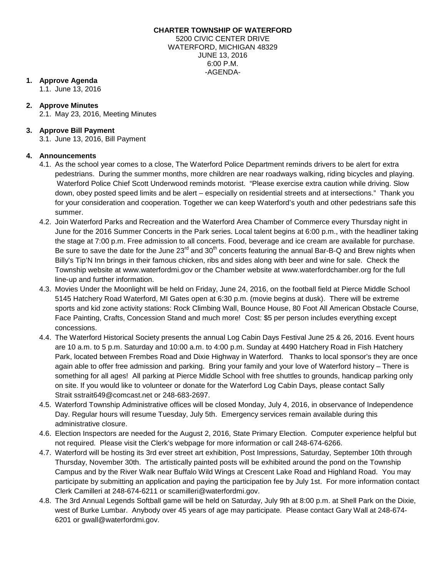#### **CHARTER TOWNSHIP OF WATERFORD**

5200 CIVIC CENTER DRIVE WATERFORD, MICHIGAN 48329 JUNE 13, 2016 6:00 P.M. -AGENDA-

#### **1. Approve Agenda**

1.1. June 13, 2016

### **2. Approve Minutes**

2.1. May 23, 2016, Meeting Minutes

### **3. Approve Bill Payment**

3.1. June 13, 2016, Bill Payment

### **4. Announcements**

- 4.1. As the school year comes to a close, The Waterford Police Department reminds drivers to be alert for extra pedestrians. During the summer months, more children are near roadways walking, riding bicycles and playing. Waterford Police Chief Scott Underwood reminds motorist. "Please exercise extra caution while driving. Slow down, obey posted speed limits and be alert – especially on residential streets and at intersections." Thank you for your consideration and cooperation. Together we can keep Waterford's youth and other pedestrians safe this summer.
- 4.2. Join Waterford Parks and Recreation and the Waterford Area Chamber of Commerce every Thursday night in June for the 2016 Summer Concerts in the Park series. Local talent begins at 6:00 p.m., with the headliner taking the stage at 7:00 p.m. Free admission to all concerts. Food, beverage and ice cream are available for purchase. Be sure to save the date for the June 23<sup>rd</sup> and 30<sup>th</sup> concerts featuring the annual Bar-B-Q and Brew nights when Billy's Tip'N Inn brings in their famous chicken, ribs and sides along with beer and wine for sale. Check the Township website at [www.waterfordmi.gov](http://www.waterfordmi.gov/) or the Chamber website at [www.waterfordchamber.org](http://www.waterfordchamber.org/) for the full line-up and further information.
- 4.3. Movies Under the Moonlight will be held on Friday, June 24, 2016, on the football field at Pierce Middle School 5145 Hatchery Road Waterford, MI Gates open at 6:30 p.m. (movie begins at dusk). There will be extreme sports and kid zone activity stations: Rock Climbing Wall, Bounce House, 80 Foot All American Obstacle Course, Face Painting, Crafts, Concession Stand and much more! Cost: \$5 per person includes everything except concessions.
- 4.4. The Waterford Historical Society presents the annual Log Cabin Days Festival June 25 & 26, 2016. Event hours are 10 a.m. to 5 p.m. Saturday and 10:00 a.m. to 4:00 p.m. Sunday at 4490 Hatchery Road in Fish Hatchery Park, located between Frembes Road and Dixie Highway in Waterford. Thanks to local sponsor's they are once again able to offer free admission and parking. Bring your family and your love of Waterford history – There is something for all ages! All parking at Pierce Middle School with free shuttles to grounds, handicap parking only on site. If you would like to volunteer or donate for the Waterford Log Cabin Days, please contact Sally Strait [sstrait649@comcast.net](mailto:sstrait649@comcast.net) or 248-683-2697.
- 4.5. Waterford Township Administrative offices will be closed Monday, July 4, 2016, in observance of Independence Day. Regular hours will resume Tuesday, July 5th. Emergency services remain available during this administrative closure.
- 4.6. Election Inspectors are needed for the August 2, 2016, State Primary Election. Computer experience helpful but not required. Please visit the Clerk's [webpage](http://waterfordmi.gov/159/Election-Information) for more information or call 248-674-6266.
- 4.7. Waterford will be hosting its 3rd ever street art exhibition, Post Impressions, Saturday, September 10th through Thursday, November 30th. The artistically painted posts will be exhibited around the pond on the Township Campus and by the River Walk near Buffalo Wild Wings at Crescent Lake Road and Highland Road. You may participate by submitting an application and paying the participation fee by July 1st. For more information contact Clerk Camilleri at 248-674-6211 or [scamilleri@waterfordmi.gov.](mailto:scamilleri@waterfordmi.gov)
- 4.8. The 3rd Annual Legends Softball game will be held on Saturday, July 9th at 8:00 p.m. at Shell Park on the Dixie, west of Burke Lumbar. Anybody over 45 years of age may participate. Please contact Gary Wall at 248-674- 6201 or [gwall@waterfordmi.gov.](mailto:gwall@waterfordmi.gov)